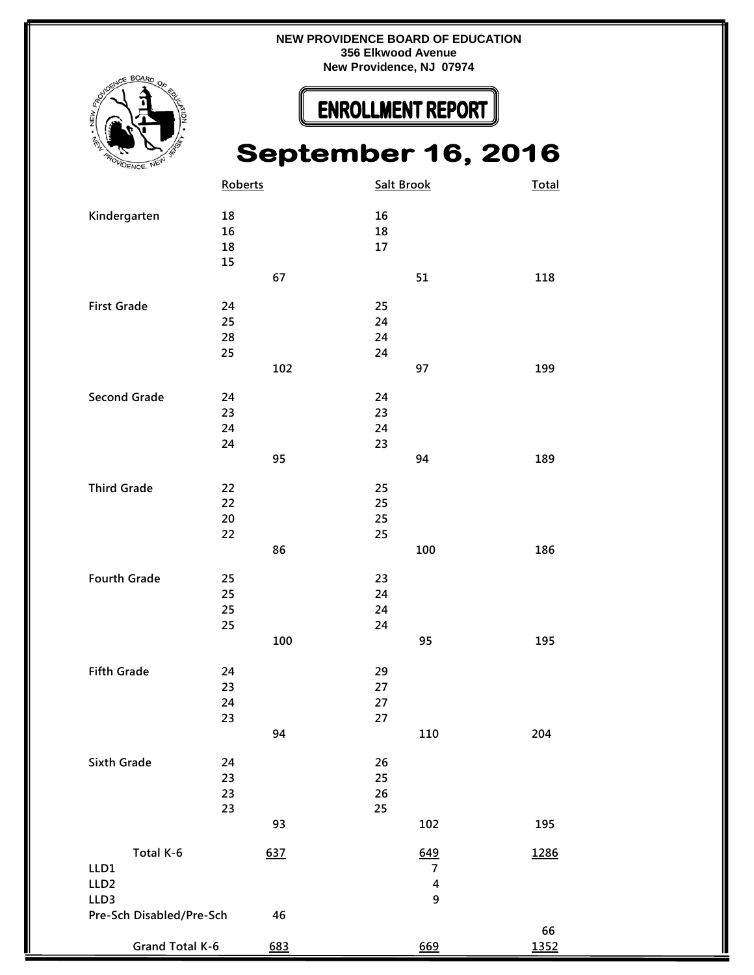**` NEW PROVIDENCE BOARD OF EDUCATION 356 Elkwood Avenue New Providence, NJ 07974**



## **ENROLLMENT REPORT**

## **September 16, 2016**

|                          | Roberts  |     | <b>Salt Brook</b>       | Total |
|--------------------------|----------|-----|-------------------------|-------|
|                          |          |     |                         |       |
| Kindergarten             | 18       |     | 16                      |       |
|                          | 16<br>18 |     | 18<br>17                |       |
|                          | 15       |     |                         |       |
|                          |          | 67  | 51                      | 118   |
|                          |          |     |                         |       |
| <b>First Grade</b>       | 24       |     | 25                      |       |
|                          | 25       |     | 24                      |       |
|                          | 28       |     | 24                      |       |
|                          | 25       |     | 24                      |       |
|                          |          | 102 | 97                      | 199   |
| <b>Second Grade</b>      | 24       |     | 24                      |       |
|                          | 23       |     | 23                      |       |
|                          | 24       |     | 24                      |       |
|                          | 24       |     | 23                      |       |
|                          |          | 95  | 94                      | 189   |
| <b>Third Grade</b>       | 22       |     | 25                      |       |
|                          | 22       |     | 25                      |       |
|                          | 20       |     | 25                      |       |
|                          | 22       |     | 25                      |       |
|                          |          | 86  | 100                     | 186   |
|                          |          |     |                         |       |
| <b>Fourth Grade</b>      | 25       |     | 23                      |       |
|                          | 25       |     | 24                      |       |
|                          | 25       |     | 24                      |       |
|                          | 25       | 100 | 24<br>95                | 195   |
|                          |          |     |                         |       |
| <b>Fifth Grade</b>       | 24       |     | 29                      |       |
|                          | 23       |     | 27                      |       |
|                          | 24       |     | 27                      |       |
|                          | 23       |     | 27                      |       |
|                          |          | 94  | 110                     | 204   |
| Sixth Grade              | 24       |     | 26                      |       |
|                          | 23       |     | 25                      |       |
|                          | 23       |     | 26                      |       |
|                          | 23       |     | 25                      |       |
|                          |          | 93  | 102                     | 195   |
| Total K-6                |          | 637 | 649                     | 1286  |
| LLD1                     |          |     | $\overline{7}$          |       |
| LLD <sub>2</sub>         |          |     | $\overline{\mathbf{4}}$ |       |
| LLD3                     |          |     | 9                       |       |
| Pre-Sch Disabled/Pre-Sch |          | 46  |                         |       |
|                          |          |     |                         | 66    |
| Grand Total K-6          |          | 683 | 669                     | 1352  |